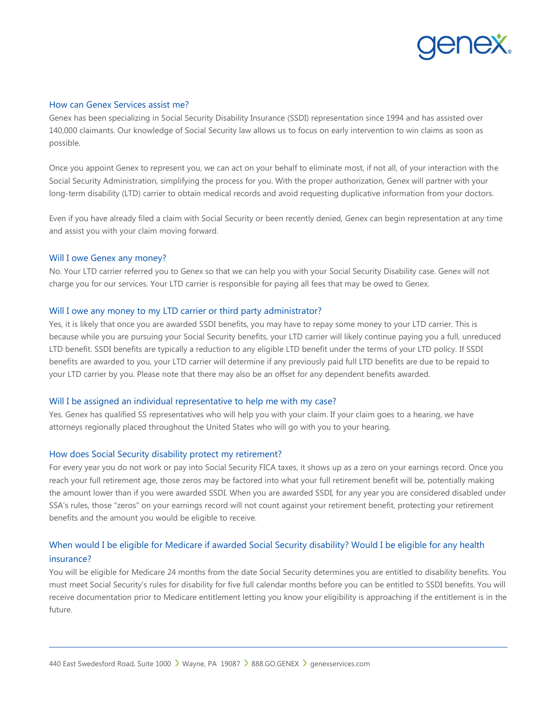

## How can Genex Services assist me?

Genex has been specializing in Social Security Disability Insurance (SSDI) representation since 1994 and has assisted over 140,000 claimants. Our knowledge of Social Security law allows us to focus on early intervention to win claims as soon as possible.

Once you appoint Genex to represent you, we can act on your behalf to eliminate most, if not all, of your interaction with the Social Security Administration, simplifying the process for you. With the proper authorization, Genex will partner with your long-term disability (LTD) carrier to obtain medical records and avoid requesting duplicative information from your doctors.

Even if you have already filed a claim with Social Security or been recently denied, Genex can begin representation at any time and assist you with your claim moving forward.

#### Will I owe Genex any money?

No. Your LTD carrier referred you to Genex so that we can help you with your Social Security Disability case. Genex will not charge you for our services. Your LTD carrier is responsible for paying all fees that may be owed to Genex.

## Will I owe any money to my LTD carrier or third party administrator?

Yes, it is likely that once you are awarded SSDI benefits, you may have to repay some money to your LTD carrier. This is because while you are pursuing your Social Security benefits, your LTD carrier will likely continue paying you a full, unreduced LTD benefit. SSDI benefits are typically a reduction to any eligible LTD benefit under the terms of your LTD policy. If SSDI benefits are awarded to you, your LTD carrier will determine if any previously paid full LTD benefits are due to be repaid to your LTD carrier by you. Please note that there may also be an offset for any dependent benefits awarded.

### Will I be assigned an individual representative to help me with my case?

Yes. Genex has qualified SS representatives who will help you with your claim. If your claim goes to a hearing, we have attorneys regionally placed throughout the United States who will go with you to your hearing.

#### How does Social Security disability protect my retirement?

For every year you do not work or pay into Social Security FICA taxes, it shows up as a zero on your earnings record. Once you reach your full retirement age, those zeros may be factored into what your full retirement benefit will be, potentially making the amount lower than if you were awarded SSDI. When you are awarded SSDI, for any year you are considered disabled under SSA's rules, those "zeros" on your earnings record will not count against your retirement benefit, protecting your retirement benefits and the amount you would be eligible to receive.

# When would I be eligible for Medicare if awarded Social Security disability? Would I be eligible for any health insurance?

You will be eligible for Medicare 24 months from the date Social Security determines you are entitled to disability benefits. You must meet Social Security's rules for disability for five full calendar months before you can be entitled to SSDI benefits. You will receive documentation prior to Medicare entitlement letting you know your eligibility is approaching if the entitlement is in the future.